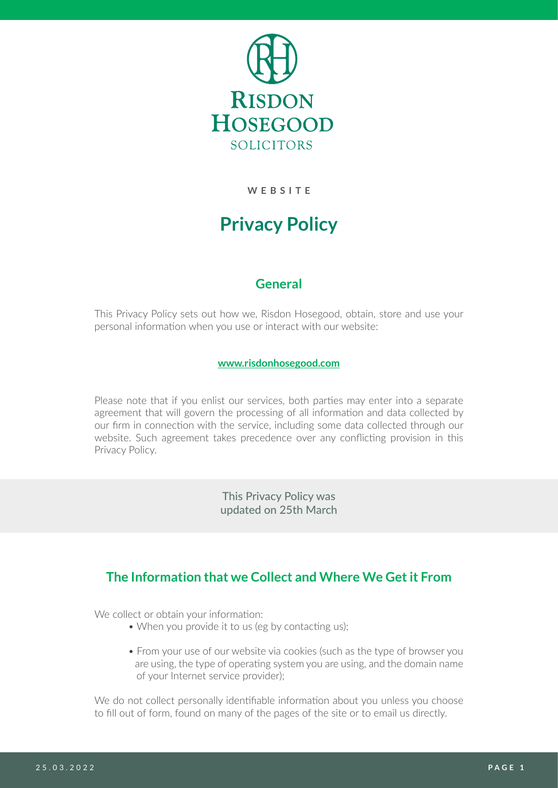

**WEBSITE**

# **Privacy Policy**

## **General**

This Privacy Policy sets out how we, Risdon Hosegood, obtain, store and use your personal information when you use or interact with our website:

### **[www.risdonhosegood.com](http://www.risdonhosegood.com)**

Please note that if you enlist our services, both parties may enter into a separate agreement that will govern the processing of all information and data collected by our firm in connection with the service, including some data collected through our website. Such agreement takes precedence over any conflicting provision in this Privacy Policy.

> This Privacy Policy was updated on 25th March

## **The Information that we Collect and Where We Get it From**

We collect or obtain your information:

- When you provide it to us (eg by contacting us);
- From your use of our website via cookies (such as the type of browser you are using, the type of operating system you are using, and the domain name of your Internet service provider);

We do not collect personally identifiable information about you unless you choose to fill out of form, found on many of the pages of the site or to email us directly.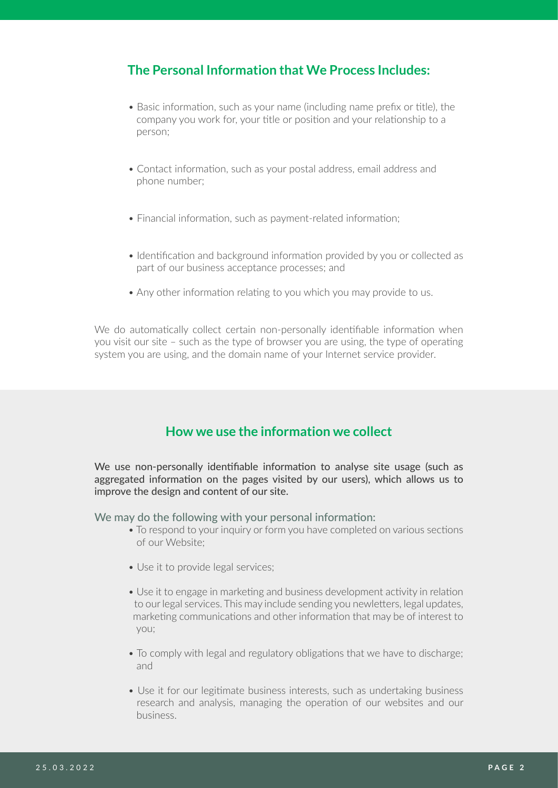## **The Personal Information that We Process Includes:**

- Basic information, such as your name (including name prefix or title), the company you work for, your title or position and your relationship to a person;
- Contact information, such as your postal address, email address and phone number;
- Financial information, such as payment-related information;
- Identification and background information provided by you or collected as part of our business acceptance processes; and
- Any other information relating to you which you may provide to us.

We do automatically collect certain non-personally identifiable information when you visit our site – such as the type of browser you are using, the type of operating system you are using, and the domain name of your Internet service provider.

## **How we use the information we collect**

We use non-personally identifiable information to analyse site usage (such as aggregated information on the pages visited by our users), which allows us to improve the design and content of our site.

We may do the following with your personal information:

- To respond to your inquiry or form you have completed on various sections of our Website;
- Use it to provide legal services;
- Use it to engage in marketing and business development activity in relation to our legal services. This may include sending you newletters, legal updates, marketing communications and other information that may be of interest to you;
- To comply with legal and regulatory obligations that we have to discharge; and
- Use it for our legitimate business interests, such as undertaking business research and analysis, managing the operation of our websites and our business.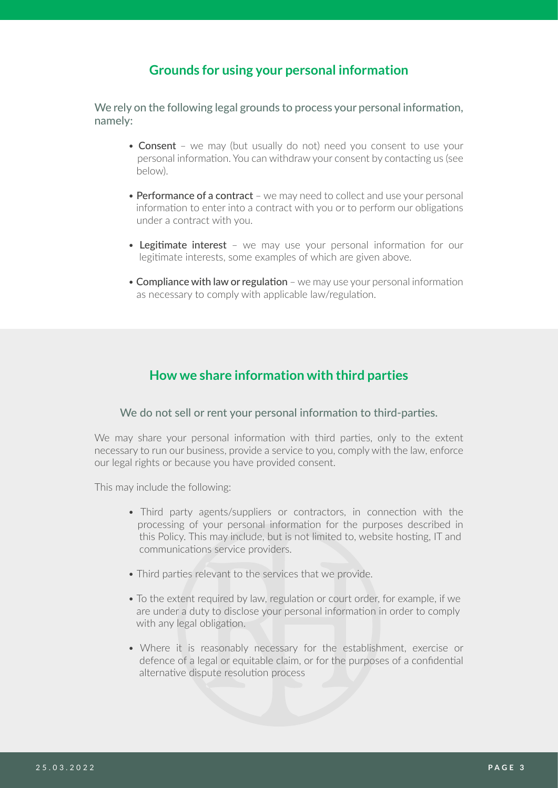## **Grounds for using your personal information**

We rely on the following legal grounds to process your personal information. namely:

- Consent we may (but usually do not) need you consent to use your personal information. You can withdraw your consent by contacting us (see below).
- Performance of a contract we may need to collect and use your personal information to enter into a contract with you or to perform our obligations under a contract with you.
- Legitimate interest we may use your personal information for our legitimate interests, some examples of which are given above.
- Compliance with law or regulation we may use your personal information as necessary to comply with applicable law/regulation.

## **How we share information with third parties**

### We do not sell or rent your personal information to third-parties.

We may share your personal information with third parties, only to the extent necessary to run our business, provide a service to you, comply with the law, enforce our legal rights or because you have provided consent.

This may include the following:

- Third party agents/suppliers or contractors, in connection with the processing of your personal information for the purposes described in this Policy. This may include, but is not limited to, website hosting, IT and communications service providers.
- Third parties relevant to the services that we provide.
- To the extent required by law, regulation or court order, for example, if we are under a duty to disclose your personal information in order to comply with any legal obligation.
- Where it is reasonably necessary for the establishment, exercise or defence of a legal or equitable claim, or for the purposes of a confidential alternative dispute resolution process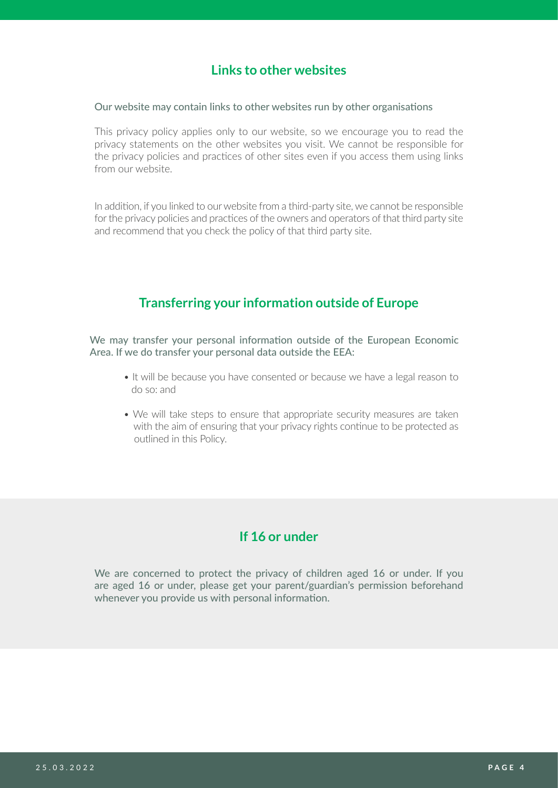## **Links to other websites**

#### Our website may contain links to other websites run by other organisations

This privacy policy applies only to our website, so we encourage you to read the privacy statements on the other websites you visit. We cannot be responsible for the privacy policies and practices of other sites even if you access them using links from our website.

In addition, if you linked to our website from a third-party site, we cannot be responsible for the privacy policies and practices of the owners and operators of that third party site and recommend that you check the policy of that third party site.

### **Transferring your information outside of Europe**

We may transfer your personal information outside of the European Economic Area. If we do transfer your personal data outside the EEA:

- It will be because you have consented or because we have a legal reason to do so: and
- We will take steps to ensure that appropriate security measures are taken with the aim of ensuring that your privacy rights continue to be protected as outlined in this Policy.

## **If 16 or under**

We are concerned to protect the privacy of children aged 16 or under. If you are aged 16 or under, please get your parent/guardian's permission beforehand whenever you provide us with personal information.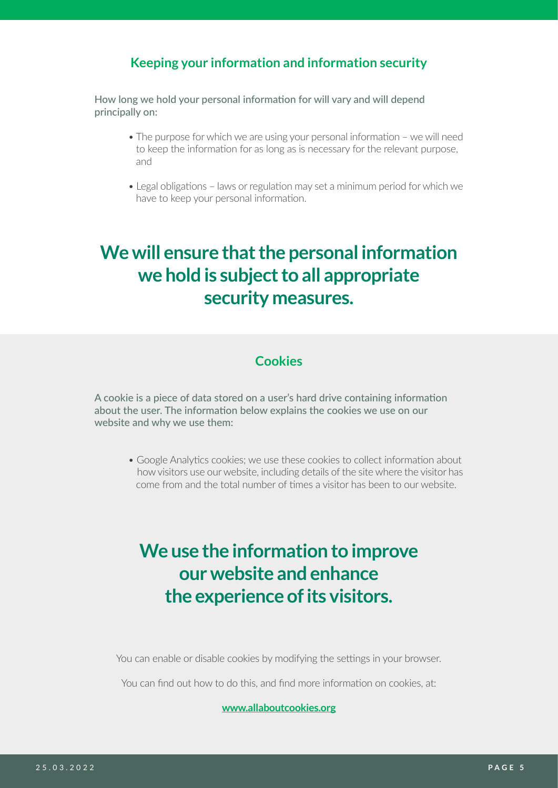## **Keeping your information and information security**

How long we hold your personal information for will vary and will depend principally on:

- The purpose for which we are using your personal information we will need to keep the information for as long as is necessary for the relevant purpose, and
- Legal obligations laws or regulation may set a minimum period for which we have to keep your personal information.

## **We will ensure that the personal information we hold is subject to all appropriate security measures.**

## **Cookies**

A cookie is a piece of data stored on a user's hard drive containing information about the user. The information below explains the cookies we use on our website and why we use them:

• Google Analytics cookies; we use these cookies to collect information about how visitors use our website, including details of the site where the visitor has come from and the total number of times a visitor has been to our website.

# **We use the information to improve our website and enhance the experience of its visitors.**

You can enable or disable cookies by modifying the settings in your browser.

You can find out how to do this, and find more information on cookies, at:

**[www.allaboutcookies.org](http://www.allaboutcookies.org)**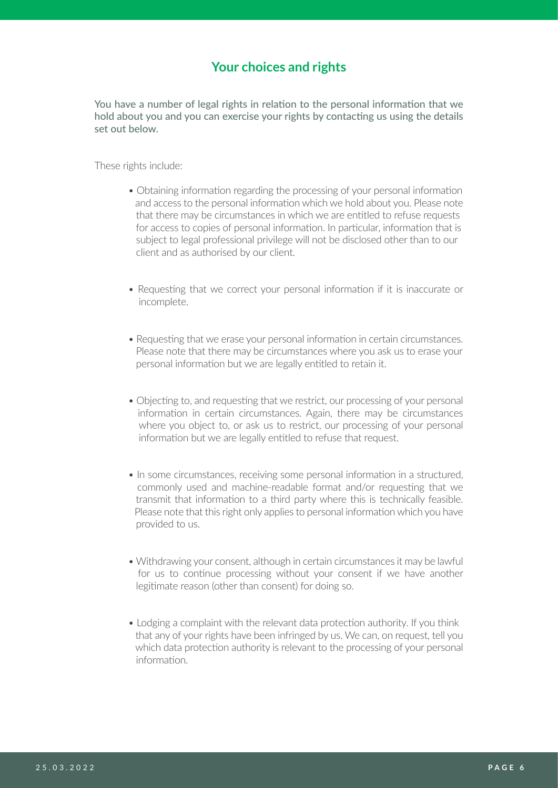## **Your choices and rights**

You have a number of legal rights in relation to the personal information that we hold about you and you can exercise your rights by contacting us using the details set out below.

These rights include:

- Obtaining information regarding the processing of your personal information and access to the personal information which we hold about you. Please note that there may be circumstances in which we are entitled to refuse requests for access to copies of personal information. In particular, information that is subject to legal professional privilege will not be disclosed other than to our client and as authorised by our client.
- Requesting that we correct your personal information if it is inaccurate or incomplete.
- Requesting that we erase your personal information in certain circumstances. Please note that there may be circumstances where you ask us to erase your personal information but we are legally entitled to retain it.
- Objecting to, and requesting that we restrict, our processing of your personal information in certain circumstances. Again, there may be circumstances where you object to, or ask us to restrict, our processing of your personal information but we are legally entitled to refuse that request.
- In some circumstances, receiving some personal information in a structured, commonly used and machine-readable format and/or requesting that we transmit that information to a third party where this is technically feasible. Please note that this right only applies to personal information which you have provided to us.
- Withdrawing your consent, although in certain circumstances it may be lawful for us to continue processing without your consent if we have another legitimate reason (other than consent) for doing so.
- Lodging a complaint with the relevant data protection authority. If you think that any of your rights have been infringed by us. We can, on request, tell you which data protection authority is relevant to the processing of your personal information.